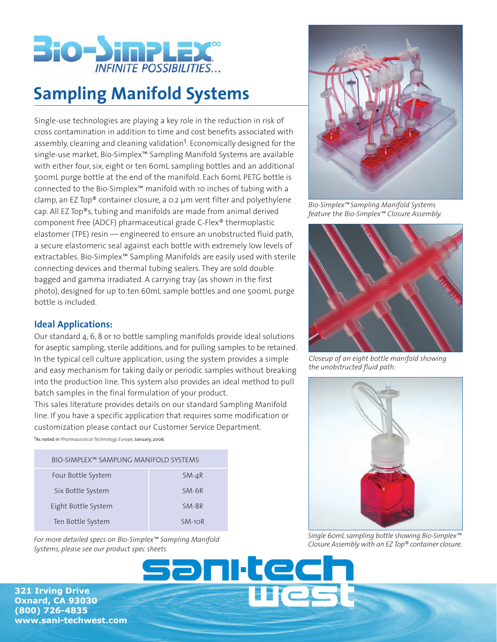

## **Sampling Manifold Systems**

Single-use technologies are playing a key role in the reduction in risk of cross contamination in addition to time and cost benefits associated with assembly, cleaning and cleaning validation<sup>1</sup>. Economically designed for the single-use market, Bio-Simplex™ Sampling Manifold Systems are available with either four, six, eight or ten 60mL sampling bottles and an additional 500mL purge bottle at the end of the manifold. Each 60mL PETG bottle is connected to the Bio-Simplex™ manifold with 10 inches of tubing with a clamp, an EZ Top® container closure, a 0.2 µm vent filter and polyethylene cap. All EZ Top®s, tubing and manifolds are made from animal derived component free (ADCF) pharmaceutical grade C-Flex® thermoplastic elastomer (TPE) resin - engineered to ensure an unobstructed fluid path, a secure elastomeric seal against each bottle with extremely low levels of extractables. Bio-Simplex™ Sampling Manifolds are easily used with sterile connecting devices and thermal tubing sealers. They are sold double bagged and gamma irradiated. A carrying tray (as shown in the first photo), designed for up to ten 60mL sample bottles and one 500mL purge bottle is included.

## **Ideal Applications:**

Our standard 4, 6, 8 or 10 bottle sampling manifolds provide ideal solutions for aseptic sampling, sterile additions, and for pulling samples to be retained. In the typical cell culture application, using the system provides a simple and easy mechanism for taking daily or periodic samples without breaking into the production line. This system also provides an ideal method to pull batch samples in the final formulation of your product.

This sales literature provides details on our standard Sampling Manifold line. If you have a specific application that requires some modification or customization please contact our Customer Service Department.

1As noted in *Pharmaceutical Technology Europe*, January, 2006.

| BIO-SIMPLEX™ SAMPLING MANIFOLD SYSTEMS |          |
|----------------------------------------|----------|
| Four Bottle System                     | $SM-4R$  |
| Six Bottle System                      | $SM-6R$  |
| Eight Bottle System                    | $SM-8R$  |
| Ten Bottle System                      | $SM-1OR$ |

*For more detailed specs on Bio-Simplex™ Sampling Manifold Systems, please see our product spec sheets.*



**www.sani-techwest.com** 



*Bio-Simplex™ Sampling Manifold Systems feature the Bio-Simplex™ Closure Assembly.*



*Closeup of an eight bottle manifold showing the unobstructed fluid path.*



*Single 60mL sampling bottle showing Bio-Simplex™ Closure Assembly with an EZ Top® container closure.*